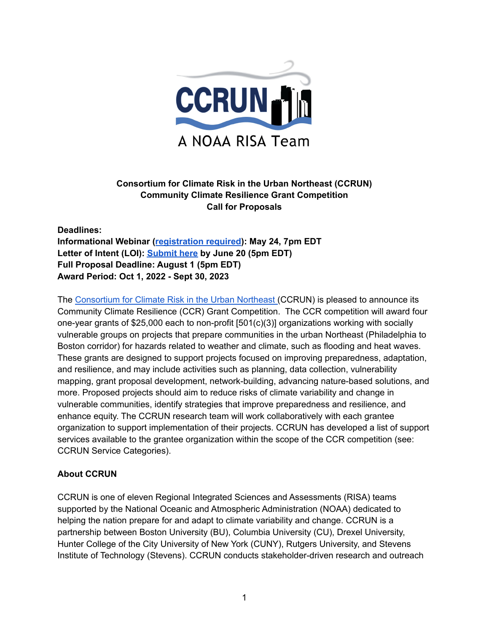

### **Consortium for Climate Risk in the Urban Northeast (CCRUN) Community Climate Resilience Grant Competition Call for Proposals**

**Deadlines: Informational Webinar ([registration](https://rutgers.zoom.us/webinar/register/WN_WPbky2dOTYuwyO1GItbizQ) required): May 24, 7pm EDT Letter of Intent (LOI): [Submit](https://docs.google.com/forms/d/e/1FAIpQLScDk_KXmz8p8jWjpDIT52eFA5oV8HjM4IDR_dcDwuEoiDj3jA/viewform?usp=sf_link) here by June 20 (5pm EDT) Full Proposal Deadline: August 1 (5pm EDT) Award Period: Oct 1, 2022 - Sept 30, 2023**

The [Consortium](http://www.ccrun.org/) for Climate Risk in the Urban Northeast (CCRUN) is pleased to announce its Community Climate Resilience (CCR) Grant Competition. The CCR competition will award four one-year grants of \$25,000 each to non-profit [501(c)(3)] organizations working with socially vulnerable groups on projects that prepare communities in the urban Northeast (Philadelphia to Boston corridor) for hazards related to weather and climate, such as flooding and heat waves. These grants are designed to support projects focused on improving preparedness, adaptation, and resilience, and may include activities such as planning, data collection, vulnerability mapping, grant proposal development, network-building, advancing nature-based solutions, and more. Proposed projects should aim to reduce risks of climate variability and change in vulnerable communities, identify strategies that improve preparedness and resilience, and enhance equity. The CCRUN research team will work collaboratively with each grantee organization to support implementation of their projects. CCRUN has developed a list of support services available to the grantee organization within the scope of the CCR competition (see: CCRUN Service Categories).

### **About CCRUN**

CCRUN is one of eleven Regional Integrated Sciences and Assessments (RISA) teams supported by the National Oceanic and Atmospheric Administration (NOAA) dedicated to helping the nation prepare for and adapt to climate variability and change. CCRUN is a partnership between Boston University (BU), Columbia University (CU), Drexel University, Hunter College of the City University of New York (CUNY), Rutgers University, and Stevens Institute of Technology (Stevens). CCRUN conducts stakeholder-driven research and outreach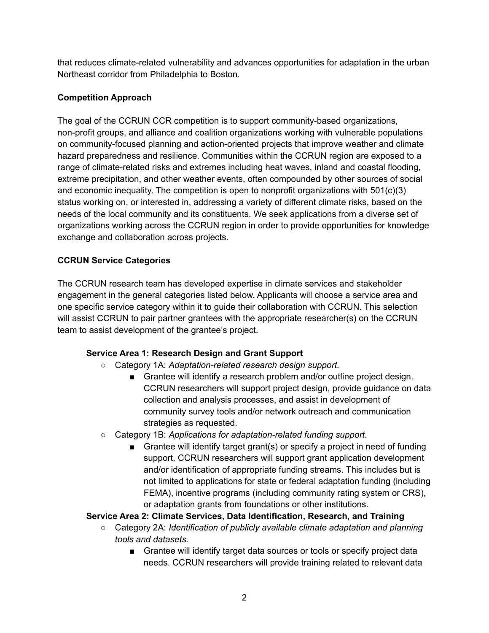that reduces climate-related vulnerability and advances opportunities for adaptation in the urban Northeast corridor from Philadelphia to Boston.

# **Competition Approach**

The goal of the CCRUN CCR competition is to support community-based organizations, non-profit groups, and alliance and coalition organizations working with vulnerable populations on community-focused planning and action-oriented projects that improve weather and climate hazard preparedness and resilience. Communities within the CCRUN region are exposed to a range of climate-related risks and extremes including heat waves, inland and coastal flooding, extreme precipitation, and other weather events, often compounded by other sources of social and economic inequality. The competition is open to nonprofit organizations with  $501(c)(3)$ status working on, or interested in, addressing a variety of different climate risks, based on the needs of the local community and its constituents. We seek applications from a diverse set of organizations working across the CCRUN region in order to provide opportunities for knowledge exchange and collaboration across projects.

# **CCRUN Service Categories**

The CCRUN research team has developed expertise in climate services and stakeholder engagement in the general categories listed below. Applicants will choose a service area and one specific service category within it to guide their collaboration with CCRUN. This selection will assist CCRUN to pair partner grantees with the appropriate researcher(s) on the CCRUN team to assist development of the grantee's project.

# **Service Area 1: Research Design and Grant Support**

- Category 1A: *Adaptation-related research design support.*
	- Grantee will identify a research problem and/or outline project design. CCRUN researchers will support project design, provide guidance on data collection and analysis processes, and assist in development of community survey tools and/or network outreach and communication strategies as requested.
- Category 1B: *Applications for adaptation-related funding support.*
	- Grantee will identify target grant(s) or specify a project in need of funding support. CCRUN researchers will support grant application development and/or identification of appropriate funding streams. This includes but is not limited to applications for state or federal adaptation funding (including FEMA), incentive programs (including community rating system or CRS), or adaptation grants from foundations or other institutions.

# **Service Area 2: Climate Services, Data Identification, Research, and Training**

- **○** Category 2A: *Identification of publicly available climate adaptation and planning tools and datasets.*
	- *■* Grantee will identify target data sources or tools or specify project data needs. CCRUN researchers will provide training related to relevant data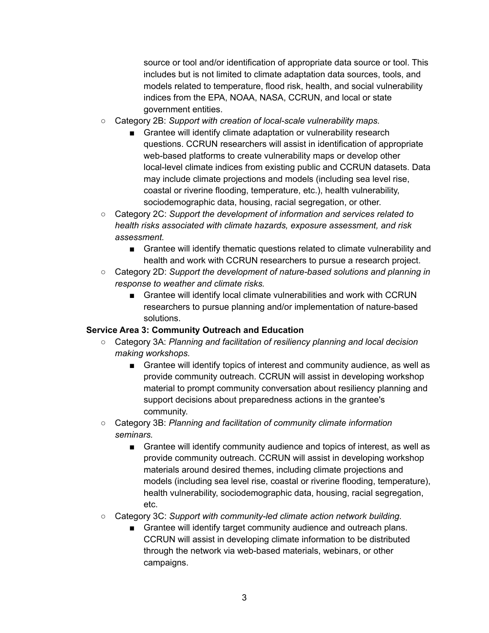source or tool and/or identification of appropriate data source or tool. This includes but is not limited to climate adaptation data sources, tools, and models related to temperature, flood risk, health, and social vulnerability indices from the EPA, NOAA, NASA, CCRUN, and local or state government entities.

- Category 2B: *Support with creation of local-scale vulnerability maps.*
	- Grantee will identify climate adaptation or vulnerability research questions. CCRUN researchers will assist in identification of appropriate web-based platforms to create vulnerability maps or develop other local-level climate indices from existing public and CCRUN datasets. Data may include climate projections and models (including sea level rise, coastal or riverine flooding, temperature, etc.), health vulnerability, sociodemographic data, housing, racial segregation, or other.
- Category 2C: *Support the development of information and services related to health risks associated with climate hazards, exposure assessment, and risk assessment.*
	- Grantee will identify thematic questions related to climate vulnerability and health and work with CCRUN researchers to pursue a research project.
- Category 2D: *Support the development of nature-based solutions and planning in response to weather and climate risks.*
	- Grantee will identify local climate vulnerabilities and work with CCRUN researchers to pursue planning and/or implementation of nature-based solutions.

### **Service Area 3: Community Outreach and Education**

- Category 3A: *Planning and facilitation of resiliency planning and local decision making workshops.*
	- *■* Grantee will identify topics of interest and community audience, as well as provide community outreach. CCRUN will assist in developing workshop material to prompt community conversation about resiliency planning and support decisions about preparedness actions in the grantee's community.
- Category 3B: *Planning and facilitation of community climate information seminars.*
	- *■* Grantee will identify community audience and topics of interest, as well as provide community outreach. CCRUN will assist in developing workshop materials around desired themes, including climate projections and models (including sea level rise, coastal or riverine flooding, temperature), health vulnerability, sociodemographic data, housing, racial segregation, etc.
- Category 3C: *Support with community-led climate action network building.*
	- Grantee will identify target community audience and outreach plans. CCRUN will assist in developing climate information to be distributed through the network via web-based materials, webinars, or other campaigns.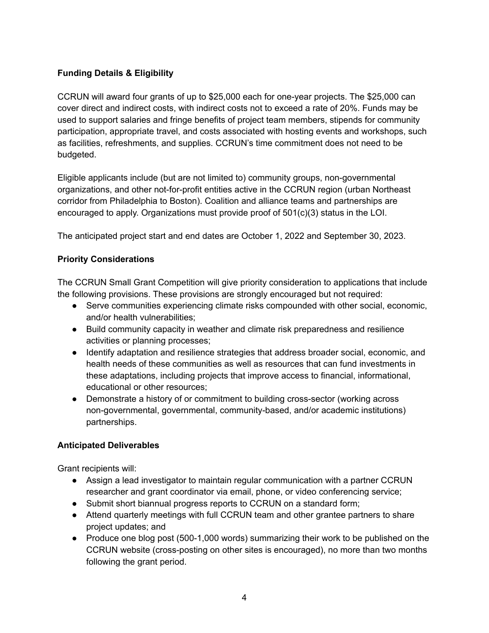### **Funding Details & Eligibility**

CCRUN will award four grants of up to \$25,000 each for one-year projects. The \$25,000 can cover direct and indirect costs, with indirect costs not to exceed a rate of 20%. Funds may be used to support salaries and fringe benefits of project team members, stipends for community participation, appropriate travel, and costs associated with hosting events and workshops, such as facilities, refreshments, and supplies. CCRUN's time commitment does not need to be budgeted.

Eligible applicants include (but are not limited to) community groups, non-governmental organizations, and other not-for-profit entities active in the CCRUN region (urban Northeast corridor from Philadelphia to Boston). Coalition and alliance teams and partnerships are encouraged to apply. Organizations must provide proof of 501(c)(3) status in the LOI.

The anticipated project start and end dates are October 1, 2022 and September 30, 2023.

### **Priority Considerations**

The CCRUN Small Grant Competition will give priority consideration to applications that include the following provisions. These provisions are strongly encouraged but not required:

- Serve communities experiencing climate risks compounded with other social, economic, and/or health vulnerabilities;
- Build community capacity in weather and climate risk preparedness and resilience activities or planning processes;
- Identify adaptation and resilience strategies that address broader social, economic, and health needs of these communities as well as resources that can fund investments in these adaptations, including projects that improve access to financial, informational, educational or other resources;
- Demonstrate a history of or commitment to building cross-sector (working across non-governmental, governmental, community-based, and/or academic institutions) partnerships.

### **Anticipated Deliverables**

Grant recipients will:

- Assign a lead investigator to maintain regular communication with a partner CCRUN researcher and grant coordinator via email, phone, or video conferencing service;
- Submit short biannual progress reports to CCRUN on a standard form;
- Attend quarterly meetings with full CCRUN team and other grantee partners to share project updates; and
- Produce one blog post (500-1,000 words) summarizing their work to be published on the CCRUN website (cross-posting on other sites is encouraged), no more than two months following the grant period.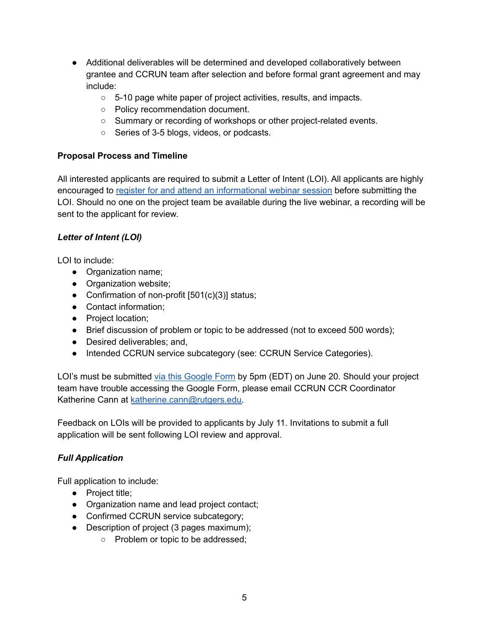- Additional deliverables will be determined and developed collaboratively between grantee and CCRUN team after selection and before formal grant agreement and may include:
	- 5-10 page white paper of project activities, results, and impacts.
	- Policy recommendation document.
	- Summary or recording of workshops or other project-related events.
	- Series of 3-5 blogs, videos, or podcasts.

### **Proposal Process and Timeline**

All interested applicants are required to submit a Letter of Intent (LOI). All applicants are highly encouraged to register for and attend an [informational](https://rutgers.zoom.us/webinar/register/WN_WPbky2dOTYuwyO1GItbizQ) webinar session before submitting the LOI. Should no one on the project team be available during the live webinar, a recording will be sent to the applicant for review.

### *Letter of Intent (LOI)*

LOI to include:

- Organization name;
- Organization website;
- Confirmation of non-profit [501(c)(3)] status;
- Contact information;
- Project location;
- Brief discussion of problem or topic to be addressed (not to exceed 500 words);
- Desired deliverables; and,
- Intended CCRUN service subcategory (see: CCRUN Service Categories).

LOI's must be submitted via this [Google](https://docs.google.com/forms/d/e/1FAIpQLScDk_KXmz8p8jWjpDIT52eFA5oV8HjM4IDR_dcDwuEoiDj3jA/viewform?usp=sf_link) Form by 5pm (EDT) on June 20. Should your project team have trouble accessing the Google Form, please email CCRUN CCR Coordinator Katherine Cann at [katherine.cann@rutgers.edu.](mailto:katherine.cann@rutgers.edu)

Feedback on LOIs will be provided to applicants by July 11. Invitations to submit a full application will be sent following LOI review and approval.

# *Full Application*

Full application to include:

- Project title;
- Organization name and lead project contact;
- Confirmed CCRUN service subcategory;
- Description of project (3 pages maximum);
	- Problem or topic to be addressed;